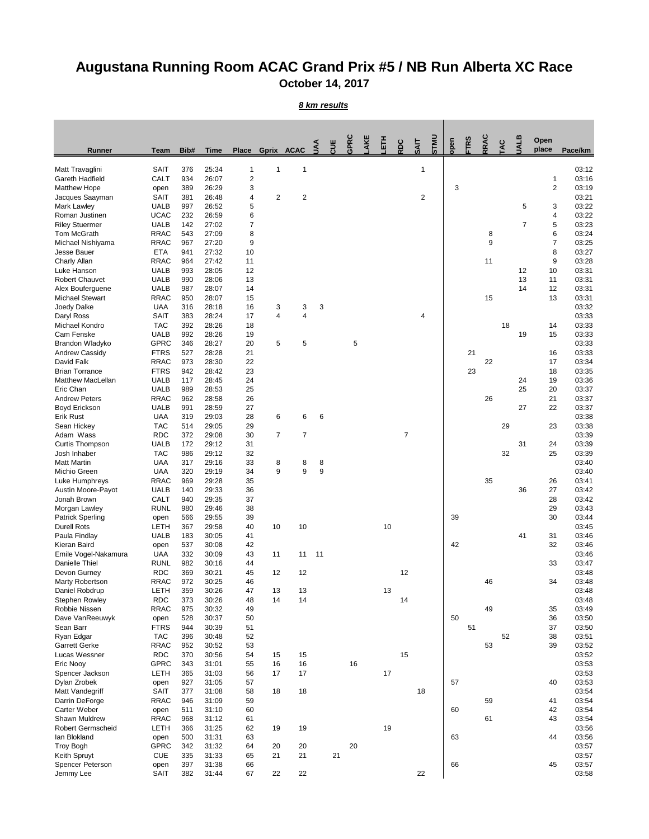## **Augustana Running Room ACAC Grand Prix #5 / NB Run Alberta XC Race October 14, 2017**

## *8 km results*

| <b>Runner</b>                             | <b>Team</b>                | Bib#       | <b>Time</b>    | <b>Place</b>        |                | Gprix ACAC       | $\leq$ | <b>UUL</b> | GPRC | AKE | <b>HLET</b> | RDC            | <b>UNLS</b><br><b>SAIT</b> | open | <b>FTRS</b> | <b>RRAC</b>      | <b>JAC</b> | <b>UALB</b>    | Open<br>place  | Pace/km        |
|-------------------------------------------|----------------------------|------------|----------------|---------------------|----------------|------------------|--------|------------|------|-----|-------------|----------------|----------------------------|------|-------------|------------------|------------|----------------|----------------|----------------|
|                                           |                            |            |                |                     |                |                  |        |            |      |     |             |                |                            |      |             |                  |            |                |                |                |
| Matt Travaglini<br><b>Gareth Hadfield</b> | <b>SAIT</b><br><b>CALT</b> | 376<br>934 | 25:34<br>26:07 | 1<br>$\overline{c}$ | 1              | 1                |        |            |      |     |             |                | 1                          |      |             |                  |            |                | 1              | 03:12<br>03:16 |
| <b>Matthew Hope</b>                       | open                       | 389        | 26:29          | 3                   |                |                  |        |            |      |     |             |                |                            | 3    |             |                  |            |                | $\overline{2}$ | 03:19          |
| Jacques Saayman                           | <b>SAIT</b>                | 381        | 26:48          | 4                   | $\overline{2}$ | $\boldsymbol{2}$ |        |            |      |     |             |                | $\overline{2}$             |      |             |                  |            |                |                | 03:21          |
| Mark Lawley                               | <b>UALB</b>                | 997        | 26:52          | 5                   |                |                  |        |            |      |     |             |                |                            |      |             |                  |            | 5              | 3              | 03:22          |
| Roman Justinen                            | <b>UCAC</b>                | 232        | 26:59<br>27:02 | 6<br>7              |                |                  |        |            |      |     |             |                |                            |      |             |                  |            | $\overline{7}$ | 4              | 03:22          |
| <b>Riley Stuermer</b><br>Tom McGrath      | <b>UALB</b><br><b>RRAC</b> | 142<br>543 | 27:09          | 8                   |                |                  |        |            |      |     |             |                |                            |      |             | 8                |            |                | 5<br>6         | 03:23<br>03:24 |
| Michael Nishiyama                         | <b>RRAC</b>                | 967        | 27:20          | 9                   |                |                  |        |            |      |     |             |                |                            |      |             | $\boldsymbol{9}$ |            |                | 7              | 03:25          |
| Jesse Bauer                               | <b>ETA</b>                 | 941        | 27:32          | 10                  |                |                  |        |            |      |     |             |                |                            |      |             |                  |            |                | 8              | 03:27          |
| Charly Allan                              | <b>RRAC</b>                | 964        | 27:42          | 11                  |                |                  |        |            |      |     |             |                |                            |      |             | 11               |            |                | 9              | 03:28          |
| Luke Hanson<br><b>Robert Chauvet</b>      | <b>UALB</b><br><b>UALB</b> | 993<br>990 | 28:05<br>28:06 | 12<br>13            |                |                  |        |            |      |     |             |                |                            |      |             |                  |            | 12<br>13       | 10<br>11       | 03:31<br>03:31 |
| Alex Bouferguene                          | <b>UALB</b>                | 987        | 28:07          | 14                  |                |                  |        |            |      |     |             |                |                            |      |             |                  |            | 14             | 12             | 03:31          |
| <b>Michael Stewart</b>                    | <b>RRAC</b>                | 950        | 28:07          | 15                  |                |                  |        |            |      |     |             |                |                            |      |             | 15               |            |                | 13             | 03:31          |
| Joedy Dalke                               | <b>UAA</b>                 | 316        | 28:18          | 16                  | 3              | 3                | 3      |            |      |     |             |                |                            |      |             |                  |            |                |                | 03:32          |
| Daryl Ross                                | <b>SAIT</b>                | 383        | 28:24          | 17                  | 4              | $\overline{4}$   |        |            |      |     |             |                | 4                          |      |             |                  |            |                |                | 03:33          |
| Michael Kondro                            | <b>TAC</b>                 | 392        | 28:26          | 18                  |                |                  |        |            |      |     |             |                |                            |      |             |                  | 18         |                | 14             | 03:33          |
| Cam Fenske<br>Brandon Wladyko             | <b>UALB</b><br><b>GPRC</b> | 992<br>346 | 28:26<br>28:27 | 19<br>20            | 5              | 5                |        |            | 5    |     |             |                |                            |      |             |                  |            | 19             | 15             | 03:33<br>03:33 |
| <b>Andrew Cassidy</b>                     | <b>FTRS</b>                | 527        | 28:28          | 21                  |                |                  |        |            |      |     |             |                |                            |      | 21          |                  |            |                | 16             | 03:33          |
| David Falk                                | <b>RRAC</b>                | 973        | 28:30          | 22                  |                |                  |        |            |      |     |             |                |                            |      |             | 22               |            |                | 17             | 03:34          |
| <b>Brian Torrance</b>                     | <b>FTRS</b>                | 942        | 28:42          | 23                  |                |                  |        |            |      |     |             |                |                            |      | 23          |                  |            |                | 18             | 03:35          |
| <b>Matthew MacLellan</b>                  | <b>UALB</b>                | 117        | 28:45          | 24                  |                |                  |        |            |      |     |             |                |                            |      |             |                  |            | 24             | 19             | 03:36          |
| Eric Chan                                 | <b>UALB</b>                | 989        | 28:53          | 25                  |                |                  |        |            |      |     |             |                |                            |      |             |                  |            | 25             | 20             | 03:37          |
| <b>Andrew Peters</b>                      | <b>RRAC</b><br><b>UALB</b> | 962<br>991 | 28:58<br>28:59 | 26<br>27            |                |                  |        |            |      |     |             |                |                            |      |             | 26               |            | 27             | 21<br>22       | 03:37<br>03:37 |
| <b>Boyd Erickson</b><br><b>Erik Rust</b>  | <b>UAA</b>                 | 319        | 29:03          | 28                  | 6              | 6                | 6      |            |      |     |             |                |                            |      |             |                  |            |                |                | 03:38          |
| Sean Hickey                               | <b>TAC</b>                 | 514        | 29:05          | 29                  |                |                  |        |            |      |     |             |                |                            |      |             |                  | 29         |                | 23             | 03:38          |
| Adam Wass                                 | <b>RDC</b>                 | 372        | 29:08          | 30                  | $\overline{7}$ | $\overline{7}$   |        |            |      |     |             | $\overline{7}$ |                            |      |             |                  |            |                |                | 03:39          |
| <b>Curtis Thompson</b>                    | <b>UALB</b>                | 172        | 29:12          | 31                  |                |                  |        |            |      |     |             |                |                            |      |             |                  |            | 31             | 24             | 03:39          |
| Josh Inhaber                              | <b>TAC</b>                 | 986        | 29:12          | 32                  |                |                  |        |            |      |     |             |                |                            |      |             |                  | 32         |                | 25             | 03:39          |
| <b>Matt Martin</b><br>Michio Green        | <b>UAA</b><br><b>UAA</b>   | 317<br>320 | 29:16<br>29:19 | 33<br>34            | 8<br>9         | 8<br>9           | 8<br>9 |            |      |     |             |                |                            |      |             |                  |            |                |                | 03:40<br>03:40 |
| Luke Humphreys                            | <b>RRAC</b>                | 969        | 29:28          | 35                  |                |                  |        |            |      |     |             |                |                            |      |             | 35               |            |                | 26             | 03:41          |
| Austin Moore-Payot                        | <b>UALB</b>                | 140        | 29:33          | 36                  |                |                  |        |            |      |     |             |                |                            |      |             |                  |            | 36             | 27             | 03:42          |
| Jonah Brown                               | CALT                       | 940        | 29:35          | 37                  |                |                  |        |            |      |     |             |                |                            |      |             |                  |            |                | 28             | 03:42          |
| Morgan Lawley                             | <b>RUNL</b>                | 980        | 29:46          | 38                  |                |                  |        |            |      |     |             |                |                            |      |             |                  |            |                | 29             | 03:43          |
| <b>Patrick Sperling</b>                   | open                       | 566        | 29:55          | 39                  |                |                  |        |            |      |     |             |                |                            | 39   |             |                  |            |                | 30             | 03:44          |
| <b>Durell Rots</b><br>Paula Findlay       | <b>LETH</b><br><b>UALB</b> | 367<br>183 | 29:58<br>30:05 | 40<br>41            | 10             | 10               |        |            |      |     | 10          |                |                            |      |             |                  |            | 41             | 31             | 03:45<br>03:46 |
| Kieran Baird                              | open                       | 537        | 30:08          | 42                  |                |                  |        |            |      |     |             |                |                            | 42   |             |                  |            |                | 32             | 03:46          |
| Emile Vogel-Nakamura                      | <b>UAA</b>                 | 332        | 30:09          | 43                  | 11             | 11               | 11     |            |      |     |             |                |                            |      |             |                  |            |                |                | 03:46          |
| Danielle Thiel                            | <b>RUNL</b>                | 982        | 30:16          | 44                  |                |                  |        |            |      |     |             |                |                            |      |             |                  |            |                | 33             | 03:47          |
| Devon Gurney                              | <b>RDC</b>                 | 369        | 30:21          | 45                  | 12             | 12               |        |            |      |     |             | 12             |                            |      |             |                  |            |                |                | 03:48          |
| Marty Robertson<br>Daniel Robdrup         | <b>RRAC</b><br><b>LETH</b> | 972<br>359 | 30:25<br>30:26 | 46<br>47            | 13             | 13               |        |            |      |     | 13          |                |                            |      |             | 46               |            |                | 34             | 03:48<br>03:48 |
| <b>Stephen Rowley</b>                     | <b>RDC</b>                 | 373        | 30:26          | 48                  | 14             | 14               |        |            |      |     |             | 14             |                            |      |             |                  |            |                |                | 03:48          |
| Robbie Nissen                             | <b>RRAC</b>                | 975        | 30:32          | 49                  |                |                  |        |            |      |     |             |                |                            |      |             | 49               |            |                | 35             | 03:49          |
| Dave VanReeuwyk                           | open                       | 528        | 30:37          | 50                  |                |                  |        |            |      |     |             |                |                            | 50   |             |                  |            |                | 36             | 03:50          |
| Sean Barr                                 | <b>FTRS</b>                | 944        | 30:39          | 51                  |                |                  |        |            |      |     |             |                |                            |      | 51          |                  |            |                | 37             | 03:50          |
| Ryan Edgar                                | <b>TAC</b>                 | 396        | 30:48          | 52                  |                |                  |        |            |      |     |             |                |                            |      |             |                  | 52         |                | 38             | 03:51          |
| <b>Garrett Gerke</b><br>Lucas Wessner     | <b>RRAC</b><br><b>RDC</b>  | 952<br>370 | 30:52<br>30:56 | 53<br>54            | 15             | 15               |        |            |      |     |             | 15             |                            |      |             | 53               |            |                | 39             | 03:52<br>03:52 |
| Eric Nooy                                 | <b>GPRC</b>                | 343        | 31:01          | 55                  | 16             | 16               |        |            | 16   |     |             |                |                            |      |             |                  |            |                |                | 03:53          |
| Spencer Jackson                           | LETH                       | 365        | 31:03          | 56                  | 17             | 17               |        |            |      |     | 17          |                |                            |      |             |                  |            |                |                | 03:53          |
| Dylan Zrobek                              | open                       | 927        | 31:05          | 57                  |                |                  |        |            |      |     |             |                |                            | 57   |             |                  |            |                | 40             | 03:53          |
| Matt Vandegriff                           | <b>SAIT</b>                | 377        | 31:08          | 58                  | 18             | 18               |        |            |      |     |             |                | 18                         |      |             |                  |            |                |                | 03:54          |
| Darrin DeForge                            | <b>RRAC</b>                | 946        | 31:09          | 59                  |                |                  |        |            |      |     |             |                |                            |      |             | 59               |            |                | 41             | 03:54          |
| Carter Weber<br>Shawn Muldrew             | open<br><b>RRAC</b>        | 511<br>968 | 31:10<br>31:12 | 60<br>61            |                |                  |        |            |      |     |             |                |                            | 60   |             | 61               |            |                | 42<br>43       | 03:54<br>03:54 |
| <b>Robert Germscheid</b>                  | LETH                       | 366        | 31:25          | 62                  | 19             | 19               |        |            |      |     | 19          |                |                            |      |             |                  |            |                |                | 03:56          |
| lan Blokland                              | open                       | 500        | 31:31          | 63                  |                |                  |        |            |      |     |             |                |                            | 63   |             |                  |            |                | 44             | 03:56          |
| <b>Troy Bogh</b>                          | <b>GPRC</b>                | 342        | 31:32          | 64                  | 20             | 20               |        |            | 20   |     |             |                |                            |      |             |                  |            |                |                | 03:57          |
| Keith Spruyt                              | <b>CUE</b>                 | 335        | 31:33          | 65                  | 21             | 21               |        | 21         |      |     |             |                |                            |      |             |                  |            |                |                | 03:57          |
| Spencer Peterson                          | open                       | 397        | 31:38          | 66                  |                |                  |        |            |      |     |             |                |                            | 66   |             |                  |            |                | 45             | 03:57          |
| Jemmy Lee                                 | <b>SAIT</b>                | 382        | 31:44          | 67                  | 22             | 22               |        |            |      |     |             |                | 22                         |      |             |                  |            |                |                | 03:58          |